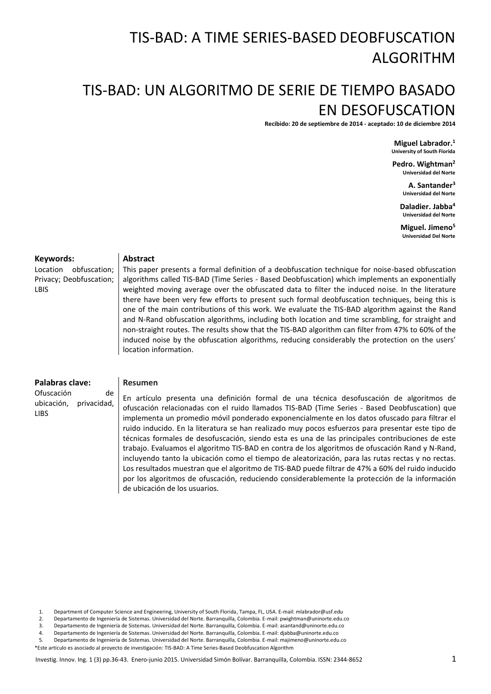# TIS-BAD: A TIME SERIES-BASED DEOBFUSCATION ALGORITHM

## TIS-BAD: UN ALGORITMO DE SERIE DE TIEMPO BASADO EN DESOFUSCATION

**Recibido: 20 de septiembre de 2014 - aceptado: 10 de diciembre 2014**

**Miguel Labrador.<sup>1</sup> University of South Florida**

**Pedro. Wightman<sup>2</sup> Universidad del Norte**

> **A. Santander<sup>3</sup> Universidad del Norte**

**Daladier. Jabba<sup>4</sup> Universidad del Norte**

**Miguel. Jimeno<sup>5</sup> Universidad Del Norte**

#### **Keywords:**

Location obfuscation; Privacy; Deobfuscation; LBIS

#### **Abstract**

This paper presents a formal definition of a deobfuscation technique for noise-based obfuscation algorithms called TIS-BAD (Time Series - Based Deobfuscation) which implements an exponentially weighted moving average over the obfuscated data to filter the induced noise. In the literature there have been very few efforts to present such formal deobfuscation techniques, being this is one of the main contributions of this work. We evaluate the TIS-BAD algorithm against the Rand and N-Rand obfuscation algorithms, including both location and time scrambling, for straight and non-straight routes. The results show that the TIS-BAD algorithm can filter from 47% to 60% of the induced noise by the obfuscation algorithms, reducing considerably the protection on the users' location information.

#### **Palabras clave:**

Ofuscación de ubicación, privacidad, LIBS

#### **Resumen**

En artículo presenta una definición formal de una técnica desofuscación de algoritmos de ofuscación relacionadas con el ruido llamados TIS-BAD (Time Series - Based Deobfuscation) que implementa un promedio móvil ponderado exponencialmente en los datos ofuscado para filtrar el ruido inducido. En la literatura se han realizado muy pocos esfuerzos para presentar este tipo de técnicas formales de desofuscación, siendo esta es una de las principales contribuciones de este trabajo. Evaluamos el algoritmo TIS-BAD en contra de los algoritmos de ofuscación Rand y N-Rand, incluyendo tanto la ubicación como el tiempo de aleatorización, para las rutas rectas y no rectas. Los resultados muestran que el algoritmo de TIS-BAD puede filtrar de 47% a 60% del ruido inducido por los algoritmos de ofuscación, reduciendo considerablemente la protección de la información de ubicación de los usuarios.

\*Este artículo es asociado al proyecto de investigación: TIS-BAD: A Time Series-Based Deobfuscation Algorithm

<sup>1.</sup> Department of Computer Science and Engineering, University of South Florida, Tampa, FL, USA. E-mail: mlabrador@usf.edu

<sup>2.</sup> Departamento de Ingeniería de Sistemas. Universidad del Norte. Barranquilla, Colombia. E-mail: pwightman@uninorte.edu.co

<sup>3.</sup> Departamento de Ingeniería de Sistemas. Universidad del Norte. Barranquilla, Colombia. E-mail: asantand@uninorte.edu.co

<sup>4.</sup> Departamento de Ingeniería de Sistemas. Universidad del Norte. Barranquilla, Colombia. E-mail: djabba@uninorte.edu.co

<sup>5.</sup> Departamento de Ingeniería de Sistemas. Universidad del Norte. Barranquilla, Colombia. E-mail: majimeno@uninorte.edu.co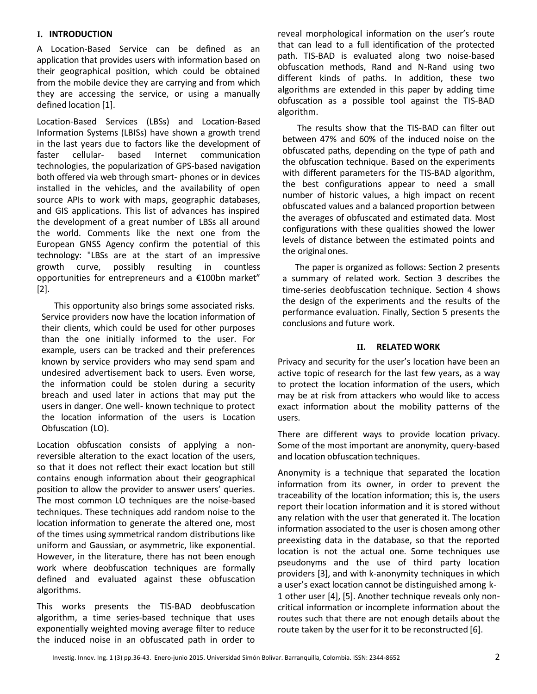## **I. INTRODUCTION**

A Location-Based Service can be defined as an application that provides users with information based on their geographical position, which could be obtained from the mobile device they are carrying and from which they are accessing the service, or using a manually defined location [1].

Location-Based Services (LBSs) and Location-Based Information Systems (LBISs) have shown a growth trend in the last years due to factors like the development of faster cellular- based Internet communication technologies, the popularization of GPS-based navigation both offered via web through smart- phones or in devices installed in the vehicles, and the availability of open source APIs to work with maps, geographic databases, and GIS applications. This list of advances has inspired the development of a great number of LBSs all around the world. Comments like the next one from the European GNSS Agency confirm the potential of this technology: "LBSs are at the start of an impressive growth curve, possibly resulting in countless opportunities for entrepreneurs and a €100bn market" [2].

This opportunity also brings some associated risks. Service providers now have the location information of their clients, which could be used for other purposes than the one initially informed to the user. For example, users can be tracked and their preferences known by service providers who may send spam and undesired advertisement back to users. Even worse, the information could be stolen during a security breach and used later in actions that may put the users in danger. One well- known technique to protect the location information of the users is Location Obfuscation (LO).

Location obfuscation consists of applying a nonreversible alteration to the exact location of the users, so that it does not reflect their exact location but still contains enough information about their geographical position to allow the provider to answer users' queries. The most common LO techniques are the noise-based techniques. These techniques add random noise to the location information to generate the altered one, most of the times using symmetrical random distributions like uniform and Gaussian, or asymmetric, like exponential. However, in the literature, there has not been enough work where deobfuscation techniques are formally defined and evaluated against these obfuscation algorithms.

This works presents the TIS-BAD deobfuscation algorithm, a time series-based technique that uses exponentially weighted moving average filter to reduce the induced noise in an obfuscated path in order to

reveal morphological information on the user's route that can lead to a full identification of the protected path. TIS-BAD is evaluated along two noise-based obfuscation methods, Rand and N-Rand using two different kinds of paths. In addition, these two algorithms are extended in this paper by adding time obfuscation as a possible tool against the TIS-BAD algorithm.

The results show that the TIS-BAD can filter out between 47% and 60% of the induced noise on the obfuscated paths, depending on the type of path and the obfuscation technique. Based on the experiments with different parameters for the TIS-BAD algorithm, the best configurations appear to need a small number of historic values, a high impact on recent obfuscated values and a balanced proportion between the averages of obfuscated and estimated data. Most configurations with these qualities showed the lower levels of distance between the estimated points and the original ones.

The paper is organized as follows: Section 2 presents a summary of related work. Section 3 describes the time-series deobfuscation technique. Section 4 shows the design of the experiments and the results of the performance evaluation. Finally, Section 5 presents the conclusions and future work.

### **II. RELATED WORK**

Privacy and security for the user's location have been an active topic of research for the last few years, as a way to protect the location information of the users, which may be at risk from attackers who would like to access exact information about the mobility patterns of the users.

There are different ways to provide location privacy. Some of the most important are anonymity, query-based and location obfuscation techniques.

Anonymity is a technique that separated the location information from its owner, in order to prevent the traceability of the location information; this is, the users report their location information and it is stored without any relation with the user that generated it. The location information associated to the user is chosen among other preexisting data in the database, so that the reported location is not the actual one. Some techniques use pseudonyms and the use of third party location providers [3], and with k-anonymity techniques in which a user's exact location cannot be distinguished among k-1 other user [4], [5]. Another technique reveals only noncritical information or incomplete information about the routes such that there are not enough details about the route taken by the user for it to be reconstructed [6].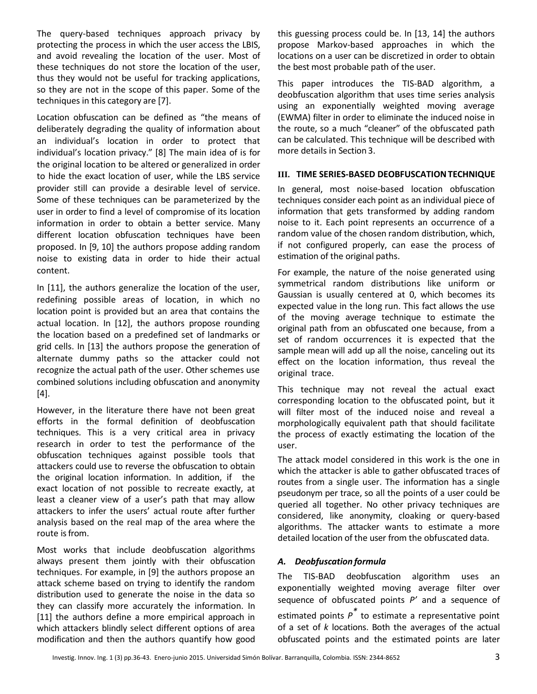The query-based techniques approach privacy by protecting the process in which the user access the LBIS, and avoid revealing the location of the user. Most of these techniques do not store the location of the user, thus they would not be useful for tracking applications, so they are not in the scope of this paper. Some of the techniques in this category are [7].

Location obfuscation can be defined as "the means of deliberately degrading the quality of information about an individual's location in order to protect that individual's location privacy." [8] The main idea of is for the original location to be altered or generalized in order to hide the exact location of user, while the LBS service provider still can provide a desirable level of service. Some of these techniques can be parameterized by the user in order to find a level of compromise of its location information in order to obtain a better service. Many different location obfuscation techniques have been proposed. In [9, 10] the authors propose adding random noise to existing data in order to hide their actual content.

In [11], the authors generalize the location of the user, redefining possible areas of location, in which no location point is provided but an area that contains the actual location. In [12], the authors propose rounding the location based on a predefined set of landmarks or grid cells. In [13] the authors propose the generation of alternate dummy paths so the attacker could not recognize the actual path of the user. Other schemes use combined solutions including obfuscation and anonymity  $[4]$ .

However, in the literature there have not been great efforts in the formal definition of deobfuscation techniques. This is a very critical area in privacy research in order to test the performance of the obfuscation techniques against possible tools that attackers could use to reverse the obfuscation to obtain the original location information. In addition, if the exact location of not possible to recreate exactly, at least a cleaner view of a user's path that may allow attackers to infer the users' actual route after further analysis based on the real map of the area where the route is from.

Most works that include deobfuscation algorithms always present them jointly with their obfuscation techniques. For example, in [9] the authors propose an attack scheme based on trying to identify the random distribution used to generate the noise in the data so they can classify more accurately the information. In [11] the authors define a more empirical approach in which attackers blindly select different options of area modification and then the authors quantify how good

this guessing process could be. In [13, 14] the authors propose Markov-based approaches in which the locations on a user can be discretized in order to obtain the best most probable path of the user.

This paper introduces the TIS-BAD algorithm, a deobfuscation algorithm that uses time series analysis using an exponentially weighted moving average (EWMA) filter in order to eliminate the induced noise in the route, so a much "cleaner" of the obfuscated path can be calculated. This technique will be described with more details in Section 3.

### **III. TIME SERIES-BASED DEOBFUSCATIONTECHNIQUE**

In general, most noise-based location obfuscation techniques consider each point as an individual piece of information that gets transformed by adding random noise to it. Each point represents an occurrence of a random value of the chosen random distribution, which, if not configured properly, can ease the process of estimation of the original paths.

For example, the nature of the noise generated using symmetrical random distributions like uniform or Gaussian is usually centered at 0, which becomes its expected value in the long run. This fact allows the use of the moving average technique to estimate the original path from an obfuscated one because, from a set of random occurrences it is expected that the sample mean will add up all the noise, canceling out its effect on the location information, thus reveal the original trace.

This technique may not reveal the actual exact corresponding location to the obfuscated point, but it will filter most of the induced noise and reveal a morphologically equivalent path that should facilitate the process of exactly estimating the location of the user.

The attack model considered in this work is the one in which the attacker is able to gather obfuscated traces of routes from a single user. The information has a single pseudonym per trace, so all the points of a user could be queried all together. No other privacy techniques are considered, like anonymity, cloaking or query-based algorithms. The attacker wants to estimate a more detailed location of the user from the obfuscated data.

## *A. Deobfuscation formula*

The TIS-BAD deobfuscation algorithm uses an exponentially weighted moving average filter over sequence of obfuscated points *P'* and a sequence of estimated points *P \** to estimate a representative point of a set of *k* locations. Both the averages of the actual obfuscated points and the estimated points are later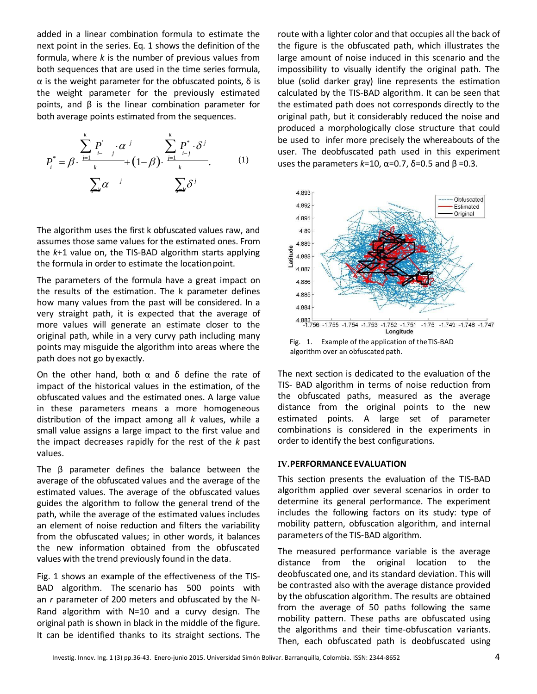added in a linear combination formula to estimate the next point in the series. Eq. 1 shows the definition of the formula, where *k* is the number of previous values from both sequences that are used in the time series formula, α is the weight parameter for the obfuscated points, δ is the weight parameter for the previously estimated points, and  $β$  is the linear combination parameter for both average points estimated from the sequences.

$$
P_i^* = \beta \cdot \frac{\sum_{j=1}^k P_j^j \cdot \alpha^j}{\sum_{k=1}^k \alpha^j} + (1-\beta) \cdot \frac{\sum_{j=1}^k P_j^* \cdot \delta^j}{\sum_{k=1}^k \alpha^j}.
$$
 (1)

The algorithm uses the first k obfuscated values raw, and assumes those same values for the estimated ones. From the *k*+1 value on, the TIS-BAD algorithm starts applying the formula in order to estimate the locationpoint.

The parameters of the formula have a great impact on the results of the estimation. The k parameter defines how many values from the past will be considered. In a very straight path, it is expected that the average of more values will generate an estimate closer to the original path, while in a very curvy path including many points may misguide the algorithm into areas where the path does not go byexactly.

On the other hand, both  $\alpha$  and δ define the rate of impact of the historical values in the estimation, of the obfuscated values and the estimated ones. A large value in these parameters means a more homogeneous distribution of the impact among all *k* values, while a small value assigns a large impact to the first value and the impact decreases rapidly for the rest of the *k* past values.

The β parameter defines the balance between the average of the obfuscated values and the average of the estimated values. The average of the obfuscated values guides the algorithm to follow the general trend of the path, while the average of the estimated values includes an element of noise reduction and filters the variability from the obfuscated values; in other words, it balances the new information obtained from the obfuscated values with the trend previously found in the data.

Fig. 1 shows an example of the effectiveness of the TIS-BAD algorithm. The scenario has 500 points with an *r* parameter of 200 meters and obfuscated by the N-Rand algorithm with N=10 and a curvy design. The original path is shown in black in the middle of the figure. It can be identified thanks to its straight sections. The

route with a lighter color and that occupies all the back of the figure is the obfuscated path, which illustrates the large amount of noise induced in this scenario and the impossibility to visually identify the original path. The blue (solid darker gray) line represents the estimation calculated by the TIS-BAD algorithm. It can be seen that the estimated path does not corresponds directly to the original path, but it considerably reduced the noise and produced a morphologically close structure that could be used to infer more precisely the whereabouts of the user. The deobfuscated path used in this experiment uses the parameters  $k=10$ ,  $\alpha=0.7$ ,  $\delta=0.5$  and  $\beta=0.3$ .



algorithm over an obfuscated path.

The next section is dedicated to the evaluation of the TIS- BAD algorithm in terms of noise reduction from the obfuscated paths, measured as the average distance from the original points to the new estimated points. A large set of parameter combinations is considered in the experiments in order to identify the best configurations.

#### **IV.PERFORMANCE EVALUATION**

This section presents the evaluation of the TIS-BAD algorithm applied over several scenarios in order to determine its general performance. The experiment includes the following factors on its study: type of mobility pattern, obfuscation algorithm, and internal parameters of the TIS-BAD algorithm.

The measured performance variable is the average distance from the original location to the deobfuscated one, and its standard deviation. This will be contrasted also with the average distance provided by the obfuscation algorithm. The results are obtained from the average of 50 paths following the same mobility pattern. These paths are obfuscated using the algorithms and their time-obfuscation variants. Then, each obfuscated path is deobfuscated using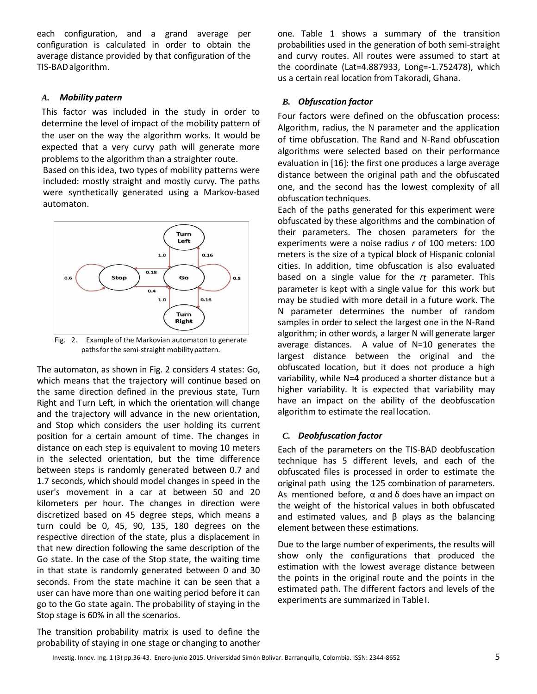each configuration, and a grand average per configuration is calculated in order to obtain the average distance provided by that configuration of the TIS-BADalgorithm.

#### *A. Mobility patern*

This factor was included in the study in order to determine the level of impact of the mobility pattern of the user on the way the algorithm works. It would be expected that a very curvy path will generate more problems to the algorithm than a straighter route.

Based on this idea, two types of mobility patterns were included: mostly straight and mostly curvy. The paths were synthetically generated using a Markov-based automaton.



Fig. 2. Example of the Markovian automaton to generate paths for the semi-straight mobility pattern.

The automaton, as shown in Fig. 2 considers 4 states: Go, which means that the trajectory will continue based on the same direction defined in the previous state, Turn Right and Turn Left, in which the orientation will change and the trajectory will advance in the new orientation, and Stop which considers the user holding its current position for a certain amount of time. The changes in distance on each step is equivalent to moving 10 meters in the selected orientation, but the time difference between steps is randomly generated between 0.7 and 1.7 seconds, which should model changes in speed in the user's movement in a car at between 50 and 20 kilometers per hour. The changes in direction were discretized based on 45 degree steps, which means a turn could be 0, 45, 90, 135, 180 degrees on the respective direction of the state, plus a displacement in that new direction following the same description of the Go state. In the case of the Stop state, the waiting time in that state is randomly generated between 0 and 30 seconds. From the state machine it can be seen that a user can have more than one waiting period before it can go to the Go state again. The probability of staying in the Stop stage is 60% in all the scenarios.

The transition probability matrix is used to define the probability of staying in one stage or changing to another one. Table 1 shows a summary of the transition probabilities used in the generation of both semi-straight and curvy routes. All routes were assumed to start at the coordinate (Lat=4.887933, Long=-1.752478), which us a certain real location from Takoradi, Ghana.

## *B. Obfuscation factor*

Four factors were defined on the obfuscation process: Algorithm, radius, the N parameter and the application of time obfuscation. The Rand and N-Rand obfuscation algorithms were selected based on their performance evaluation in [16]: the first one produces a large average distance between the original path and the obfuscated one, and the second has the lowest complexity of all obfuscation techniques.

Each of the paths generated for this experiment were obfuscated by these algorithms and the combination of their parameters. The chosen parameters for the experiments were a noise radius *r* of 100 meters: 100 meters is the size of a typical block of Hispanic colonial cities. In addition, time obfuscation is also evaluated based on a single value for the *rt* parameter. This parameter is kept with a single value for this work but may be studied with more detail in a future work. The N parameter determines the number of random samples in order to select the largest one in the N-Rand algorithm; in other words, a larger N will generate larger average distances. A value of N=10 generates the largest distance between the original and the obfuscated location, but it does not produce a high variability, while N=4 produced a shorter distance but a higher variability. It is expected that variability may have an impact on the ability of the deobfuscation algorithm to estimate the real location.

## *C. Deobfuscation factor*

Each of the parameters on the TIS-BAD deobfuscation technique has 5 different levels, and each of the obfuscated files is processed in order to estimate the original path using the 125 combination of parameters. As mentioned before,  $\alpha$  and  $\delta$  does have an impact on the weight of the historical values in both obfuscated and estimated values, and  $\beta$  plays as the balancing element between these estimations.

Due to the large number of experiments, the results will show only the configurations that produced the estimation with the lowest average distance between the points in the original route and the points in the estimated path. The different factors and levels of the experiments are summarized in TableI.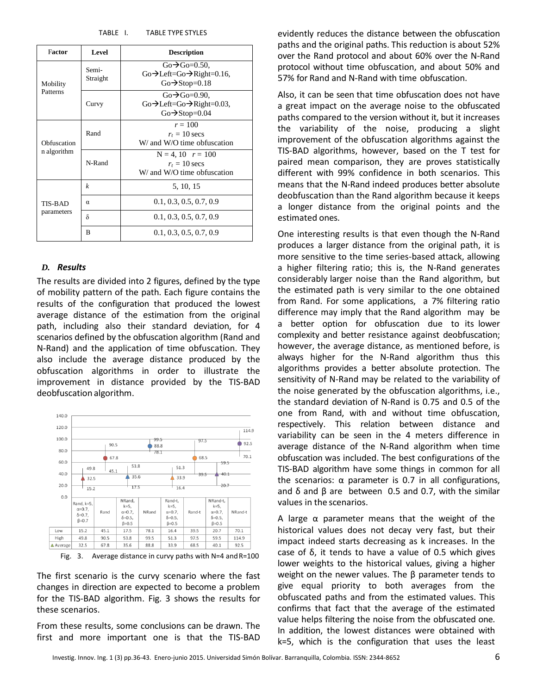| TABLE I. | <b>TABLE TYPE STYLES</b> |  |
|----------|--------------------------|--|
|          |                          |  |

| Factor                     | Level             | <b>Description</b>                                                                                                  |
|----------------------------|-------------------|---------------------------------------------------------------------------------------------------------------------|
| Mobility<br>Patterns       | Semi-<br>Straight | $Go \rightarrow Go = 0.50$ ,<br>$Go\rightarrow$ Left=Go $\rightarrow$ Right=0.16,<br>$Go \rightarrow Stop=0.18$     |
|                            | Curvy             | $Go \rightarrow Go=0.90$ .<br>$Go \rightarrow Left = Go \rightarrow Right = 0.03$ ,<br>$Go \rightarrow Stop = 0.04$ |
| Obfuscation<br>n algorithm | Rand              | $r = 100$<br>$r_t = 10$ secs<br>W/ and W/O time obfuscation                                                         |
|                            | N-Rand            | $N = 4, 10$ $r = 100$<br>$r_t = 10$ secs<br>W/ and W/O time obfuscation                                             |
| TIS-BAD<br>parameters      | $\boldsymbol{k}$  | 5, 10, 15                                                                                                           |
|                            | $\alpha$          | 0.1, 0.3, 0.5, 0.7, 0.9                                                                                             |
|                            | δ                 | 0.1, 0.3, 0.5, 0.7, 0.9                                                                                             |
|                            | R                 | 0.1, 0.3, 0.5, 0.7, 0.9                                                                                             |

#### *D. Results*

The results are divided into 2 figures, defined by the type of mobility pattern of the path. Each figure contains the results of the configuration that produced the lowest average distance of the estimation from the original path, including also their standard deviation, for 4 scenarios defined by the obfuscation algorithm (Rand and N-Rand) and the application of time obfuscation. They also include the average distance produced by the obfuscation algorithms in order to illustrate the improvement in distance provided by the TIS-BAD deobfuscation algorithm.



Fig. 3. Average distance in curvy paths with N=4 andR=100

The first scenario is the curvy scenario where the fast changes in direction are expected to become a problem for the TIS-BAD algorithm. Fig. 3 shows the results for these scenarios.

From these results, some conclusions can be drawn. The first and more important one is that the TIS-BAD

evidently reduces the distance between the obfuscation paths and the original paths. This reduction is about 52% over the Rand protocol and about 60% over the N-Rand protocol without time obfuscation, and about 50% and 57% for Rand and N-Rand with time obfuscation.

Also, it can be seen that time obfuscation does not have a great impact on the average noise to the obfuscated paths compared to the version without it, but it increases the variability of the noise, producing a slight improvement of the obfuscation algorithms against the TIS-BAD algorithms, however, based on the T test for paired mean comparison, they are proves statistically different with 99% confidence in both scenarios. This means that the N-Rand indeed produces better absolute deobfuscation than the Rand algorithm because it keeps a longer distance from the original points and the estimated ones.

One interesting results is that even though the N-Rand produces a larger distance from the original path, it is more sensitive to the time series-based attack, allowing a higher filtering ratio; this is, the N-Rand generates considerably larger noise than the Rand algorithm, but the estimated path is very similar to the one obtained from Rand. For some applications, a 7% filtering ratio difference may imply that the Rand algorithm may be a better option for obfuscation due to its lower complexity and better resistance against deobfuscation; however, the average distance, as mentioned before, is always higher for the N-Rand algorithm thus this algorithms provides a better absolute protection. The sensitivity of N-Rand may be related to the variability of the noise generated by the obfuscation algorithms, i.e., the standard deviation of N-Rand is 0.75 and 0.5 of the one from Rand, with and without time obfuscation, respectively. This relation between distance and variability can be seen in the 4 meters difference in average distance of the N-Rand algorithm when time obfuscation was included. The best configurations of the TIS-BAD algorithm have some things in common for all the scenarios: α parameter is 0.7 in all configurations, and δ and  $β$  are between 0.5 and 0.7, with the similar values in the scenarios.

A large  $\alpha$  parameter means that the weight of the historical values does not decay very fast, but their impact indeed starts decreasing as k increases. In the case of δ, it tends to have a value of 0.5 which gives lower weights to the historical values, giving a higher weight on the newer values. The β parameter tends to give equal priority to both averages from the obfuscated paths and from the estimated values. This confirms that fact that the average of the estimated value helps filtering the noise from the obfuscated one. In addition, the lowest distances were obtained with k=5, which is the configuration that uses the least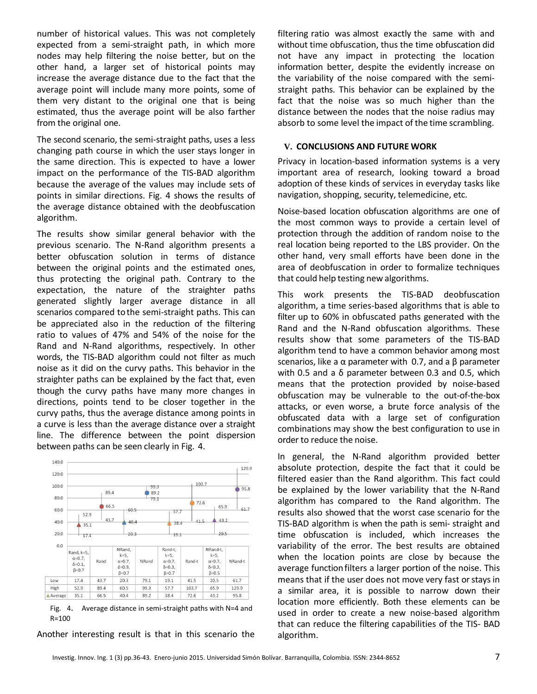number of historical values. This was not completely expected from a semi-straight path, in which more nodes may help filtering the noise better, but on the other hand, a larger set of historical points may increase the average distance due to the fact that the average point will include many more points, some of them very distant to the original one that is being estimated, thus the average point will be also farther from the original one.

The second scenario, the semi-straight paths, uses a less changing path course in which the user stays longer in the same direction. This is expected to have a lower impact on the performance of the TIS-BAD algorithm because the average of the values may include sets of points in similar directions. Fig. 4 shows the results of the average distance obtained with the deobfuscation algorithm.

The results show similar general behavior with the previous scenario. The N-Rand algorithm presents a better obfuscation solution in terms of distance between the original points and the estimated ones, thus protecting the original path. Contrary to the expectation, the nature of the straighter paths generated slightly larger average distance in all scenarios compared tothe semi-straight paths. This can be appreciated also in the reduction of the filtering ratio to values of 47% and 54% of the noise for the Rand and N-Rand algorithms, respectively. In other words, the TIS-BAD algorithm could not filter as much noise as it did on the curvy paths. This behavior in the straighter paths can be explained by the fact that, even though the curvy paths have many more changes in directions, points tend to be closer together in the curvy paths, thus the average distance among points in a curve is less than the average distance over a straight line. The difference between the point dispersion between paths can be seen clearly in Fig. 4.



Fig. 4. Average distance in semi-straight paths with N=4 and R=100

Another interesting result is that in this scenario the

filtering ratio was almost exactly the same with and without time obfuscation, thus the time obfuscation did not have any impact in protecting the location information better, despite the evidently increase on the variability of the noise compared with the semistraight paths. This behavior can be explained by the fact that the noise was so much higher than the distance between the nodes that the noise radius may absorb to some level the impact of the time scrambling.

#### **V. CONCLUSIONS AND FUTURE WORK**

Privacy in location-based information systems is a very important area of research, looking toward a broad adoption of these kinds of services in everyday tasks like navigation, shopping, security, telemedicine, etc.

Noise-based location obfuscation algorithms are one of the most common ways to provide a certain level of protection through the addition of random noise to the real location being reported to the LBS provider. On the other hand, very small efforts have been done in the area of deobfuscation in order to formalize techniques that could help testing new algorithms.

This work presents the TIS-BAD deobfuscation algorithm, a time series-based algorithms that is able to filter up to 60% in obfuscated paths generated with the Rand and the N-Rand obfuscation algorithms. These results show that some parameters of the TIS-BAD algorithm tend to have a common behavior among most scenarios, like a α parameter with 0.7, and a  $β$  parameter with 0.5 and a δ parameter between 0.3 and 0.5, which means that the protection provided by noise-based obfuscation may be vulnerable to the out-of-the-box attacks, or even worse, a brute force analysis of the obfuscated data with a large set of configuration combinations may show the best configuration to use in order to reduce the noise.

In general, the N-Rand algorithm provided better absolute protection, despite the fact that it could be filtered easier than the Rand algorithm. This fact could be explained by the lower variability that the N-Rand algorithm has compared to the Rand algorithm. The results also showed that the worst case scenario for the TIS-BAD algorithm is when the path is semi- straight and time obfuscation is included, which increases the variability of the error. The best results are obtained when the location points are close by because the average function filters a larger portion of the noise. This means that if the user does not move very fast or stays in a similar area, it is possible to narrow down their location more efficiently. Both these elements can be used in order to create a new noise-based algorithm that can reduce the filtering capabilities of the TIS- BAD algorithm.